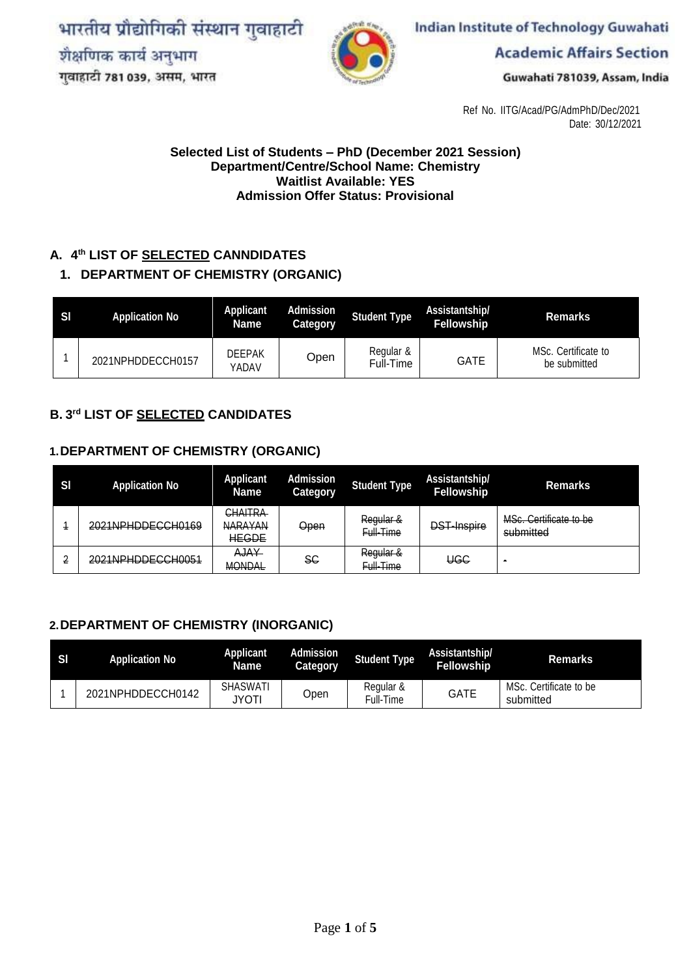भारतीय प्रौद्योगिकी संस्थान गुवाहाटी शैक्षणिक कार्य अनुभाग गुवाहाटी 781 039, असम, भारत



Indian Institute of Technology Guwahati

**Academic Affairs Section** 

Guwahati 781039, Assam, India

Ref No. IITG/Acad/PG/AdmPhD/Dec/2021 Date: 30/12/2021

#### **Selected List of Students – PhD (December 2021 Session) Department/Centre/School Name: Chemistry Waitlist Available: YES Admission Offer Status: Provisional**

#### **A. 4 th LIST OF SELECTED CANNDIDATES**

#### **1. DEPARTMENT OF CHEMISTRY (ORGANIC)**

| -SI | <b>Application No</b> | Applicant<br>Name      | Admission<br>Category | <b>Student Type</b>    | Assistantship/<br><b>Fellowship</b> | Remarks                             |
|-----|-----------------------|------------------------|-----------------------|------------------------|-------------------------------------|-------------------------------------|
|     | 2021NPHDDECCH0157     | <b>DEEPAK</b><br>YADAV | Open                  | Regular &<br>Full-Time | GATE                                | MSc. Certificate to<br>be submitted |

#### **B. 3 rd LIST OF SELECTED CANDIDATES**

#### **1.DEPARTMENT OF CHEMISTRY (ORGANIC)**

| SI | <b>Application No</b>                               | <b>Applicant</b><br><b>Name</b>                  | <b>Admission</b><br>Category | <b>Student Type</b>    | Assistantship/<br><b>Fellowship</b> | <b>Remarks</b>                      |
|----|-----------------------------------------------------|--------------------------------------------------|------------------------------|------------------------|-------------------------------------|-------------------------------------|
|    | 2021NPHDDECCH0169                                   | <b>CHAITRA</b><br><b>NARAYAN</b><br><b>HEGDE</b> | Open                         | Regular &<br>Full-Time | <b>DST-Inspire</b>                  | MSc. Certificate to be<br>submitted |
| ◠  | 2021NDHDDECCH0051<br><del>ZVZ HYFHDDEVUNUVJ I</del> | AJAY<br><b>MONDAL</b>                            | SС                           | Regular &<br>Full-Time | <b>UGC</b>                          |                                     |

#### **2.DEPARTMENT OF CHEMISTRY (INORGANIC)**

| - SI | <b>Application No</b> | Applicant<br>Name        | Admission<br>Category | <b>Student Type</b>    | Assistantship/<br><b>Fellowship</b> | <b>Remarks</b>                      |
|------|-----------------------|--------------------------|-----------------------|------------------------|-------------------------------------|-------------------------------------|
|      | 2021NPHDDECCH0142     | <b>SHASWATI</b><br>JYOTI | Open                  | Regular &<br>Full-Time | <b>GATE</b>                         | MSc. Certificate to be<br>submitted |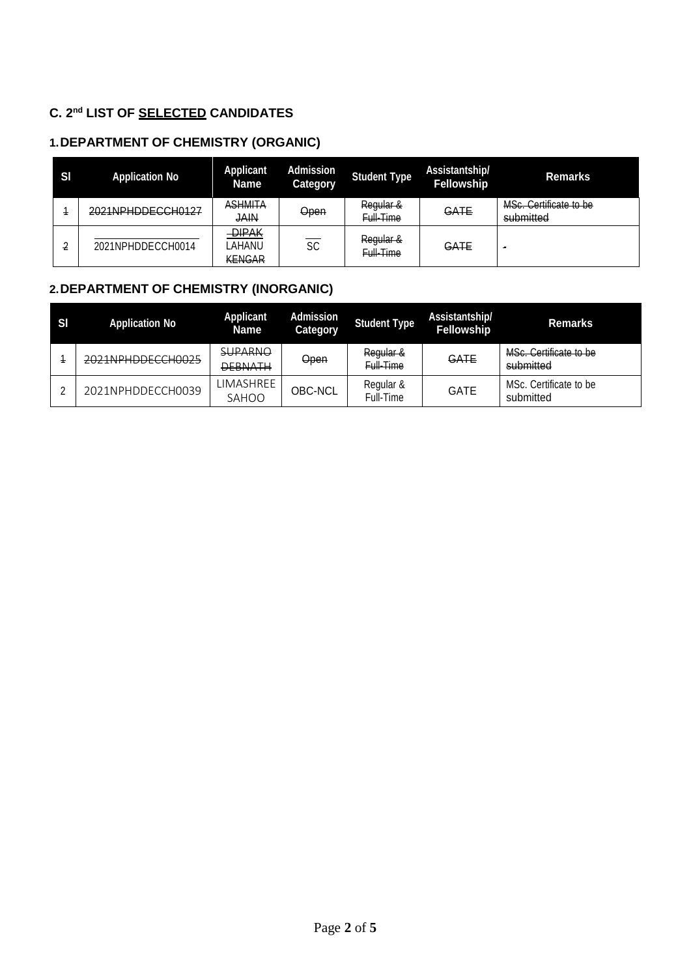## **C. 2 nd LIST OF SELECTED CANDIDATES**

# **1.DEPARTMENT OF CHEMISTRY (ORGANIC)**

| -SI | <b>Application No</b> | <b>Applicant</b><br><b>Name</b>         | <b>Admission</b><br>Category | <b>Student Type</b>    | Assistantship/<br><b>Fellowship</b> | <b>Remarks</b>                      |
|-----|-----------------------|-----------------------------------------|------------------------------|------------------------|-------------------------------------|-------------------------------------|
|     | 2021NPHDDECCH0127     | <b>ASHMITA</b><br>JAIN                  | <b>Open</b>                  | Regular &<br>Full-Time | GATE                                | MSc. Certificate to be<br>submitted |
|     | 2021NPHDDECCH0014     | <b>DIPAK</b><br>LAHANU<br><b>KENGAR</b> | SC                           | Regular &<br>Full-Time | GATE                                | - 1                                 |

## **2.DEPARTMENT OF CHEMISTRY (INORGANIC)**

| - SI | <b>Application No</b> | <b>Applicant</b><br><b>Name</b>  | <b>Admission</b><br>Category | Student Type           | Assistantship/<br>Fellowship | <b>Remarks</b>                      |
|------|-----------------------|----------------------------------|------------------------------|------------------------|------------------------------|-------------------------------------|
|      | 2021NPHDDECCH0025     | <b>SUPARNO</b><br><b>DEBNATH</b> | <b>Open</b>                  | Regular &<br>Full-Time | GATE                         | MSc. Certificate to be<br>submitted |
|      | 2021NPHDDECCH0039     | LIMASHREE<br>SAHOO               | <b>OBC-NCL</b>               | Regular &<br>Full-Time | <b>GATE</b>                  | MSc. Certificate to be<br>submitted |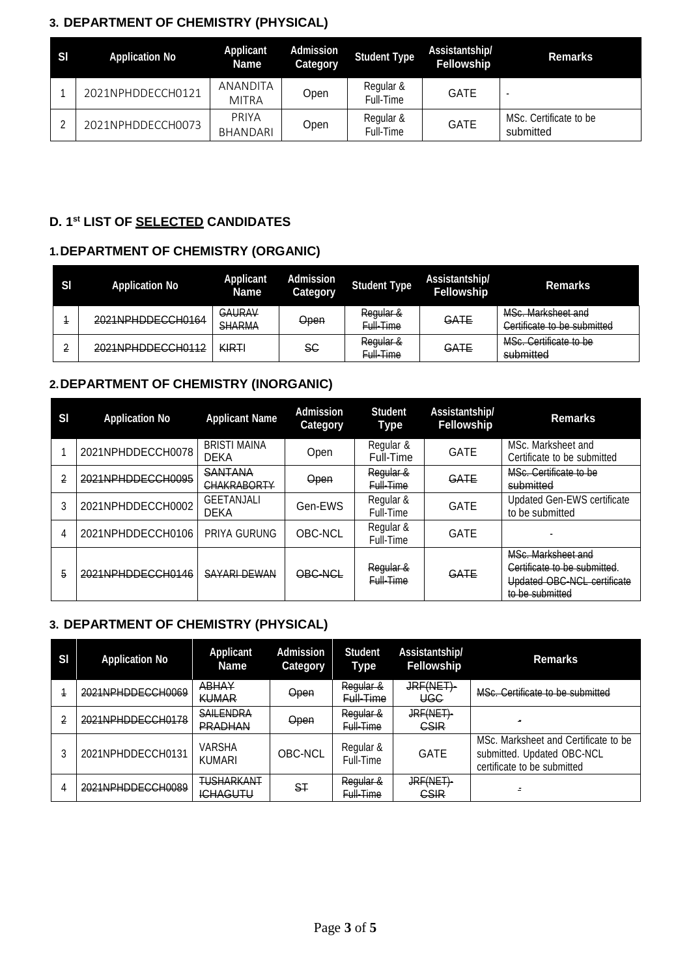### **3. DEPARTMENT OF CHEMISTRY (PHYSICAL)**

| SI | <b>Application No</b> | Applicant<br>Name        | Admission<br><b>Category</b> | <b>Student Type</b>    | Assistantship/<br><b>Fellowship</b> | <b>Remarks</b>                      |
|----|-----------------------|--------------------------|------------------------------|------------------------|-------------------------------------|-------------------------------------|
|    | 2021NPHDDECCH0121     | ANANDITA<br><b>MITRA</b> | Open                         | Regular &<br>Full-Time | <b>GATE</b>                         |                                     |
|    | 2021NPHDDECCH0073     | PRIYA<br>BHANDARI        | Open                         | Regular &<br>Full-Time | <b>GATE</b>                         | MSc. Certificate to be<br>submitted |

#### **D. 1 st LIST OF SELECTED CANDIDATES**

# **1.DEPARTMENT OF CHEMISTRY (ORGANIC)**

| <b>SI</b> | <b>Application No</b> | <b>Applicant</b><br><b>Name</b> | <b>Admission</b><br>Category | <b>Student Type</b>               | Assistantship/<br><b>Fellowship</b> | <b>Remarks</b>                                    |
|-----------|-----------------------|---------------------------------|------------------------------|-----------------------------------|-------------------------------------|---------------------------------------------------|
|           | 2021NPHDDECCH0164     | GAURAV<br><b>SHARMA</b>         | Open                         | Regular &<br>Full-Time            | GATE                                | MSc. Marksheet and<br>Certificate to be submitted |
|           | 2021NPHDDECCH0112     | <b>KIRT</b>                     | SС                           | Regular &<br><del>Full-Time</del> | GATE                                | MSc. Certificate to be<br>submitted               |

## **2.DEPARTMENT OF CHEMISTRY (INORGANIC)**

| SI | <b>Application No</b> | <b>Applicant Name</b>                | <b>Admission</b><br>Category | <b>Student</b><br>Type | Assistantship/<br><b>Fellowship</b> | <b>Remarks</b>                                                                                       |
|----|-----------------------|--------------------------------------|------------------------------|------------------------|-------------------------------------|------------------------------------------------------------------------------------------------------|
|    | 2021NPHDDECCH0078     | <b>BRISTI MAINA</b><br><b>DEKA</b>   | Open                         | Regular &<br>Full-Time | <b>GATE</b>                         | MSc. Marksheet and<br>Certificate to be submitted                                                    |
| 2  | 2021NPHDDECCH0095     | <b>SANTANA</b><br><b>CHAKRABORTY</b> | Open                         | Regular &<br>Full-Time | GATE                                | MSc. Certificate to be<br>submitted                                                                  |
|    | 2021NPHDDECCH0002     | <b>GEETANJALI</b><br><b>DEKA</b>     | Gen-EWS                      | Regular &<br>Full-Time | <b>GATE</b>                         | Updated Gen-EWS certificate<br>to be submitted                                                       |
| 4  | 2021NPHDDECCH0106     | PRIYA GURUNG                         | OBC-NCL                      | Regular &<br>Full-Time | <b>GATE</b>                         |                                                                                                      |
| 5  | 2021NPHDDECCH0146     | SAYARI DEWAN                         | OBC-NCL                      | Regular &<br>Full-Time | GATE                                | MSc. Marksheet and<br>Certificate to be submitted.<br>Updated OBC-NCL certificate<br>to be submitted |

#### **3. DEPARTMENT OF CHEMISTRY (PHYSICAL)**

| SI | <b>Application No</b> | <b>Applicant</b><br><b>Name</b>      | <b>Admission</b><br><b>Category</b> | <b>Student</b><br>Type | Assistantship/<br><b>Fellowship</b>             | <b>Remarks</b>                                                                                    |
|----|-----------------------|--------------------------------------|-------------------------------------|------------------------|-------------------------------------------------|---------------------------------------------------------------------------------------------------|
|    | 2021NPHDDECCH0069     | <b>ABHAY</b><br><b>KUMAR</b>         | <b>Open</b>                         | Regular &<br>Full-Time | JRF(NET)-<br>UGC                                | MSc. Certificate to be submitted                                                                  |
| 2  | 2021NPHDDECCH0178     | <b>SAILENDRA</b><br><b>PRADHAN</b>   | <b>Open</b>                         | Regular &<br>Full-Time | JRF(NET)-<br><b>CSIR</b>                        |                                                                                                   |
|    | 2021NPHDDECCH0131     | VARSHA<br><b>KUMARI</b>              | OBC-NCL                             | Regular &<br>Full-Time | <b>GATE</b>                                     | MSc. Marksheet and Certificate to be<br>submitted. Updated OBC-NCL<br>certificate to be submitted |
| 4  | 2021NPHDDECCH0089     | <b>TUSHARKANT</b><br><b>ICHAGUTU</b> | ST                                  | Regular &<br>Full-Time | IDE/NET).<br><del>JALINETI</del><br><b>CSIR</b> | Ξ                                                                                                 |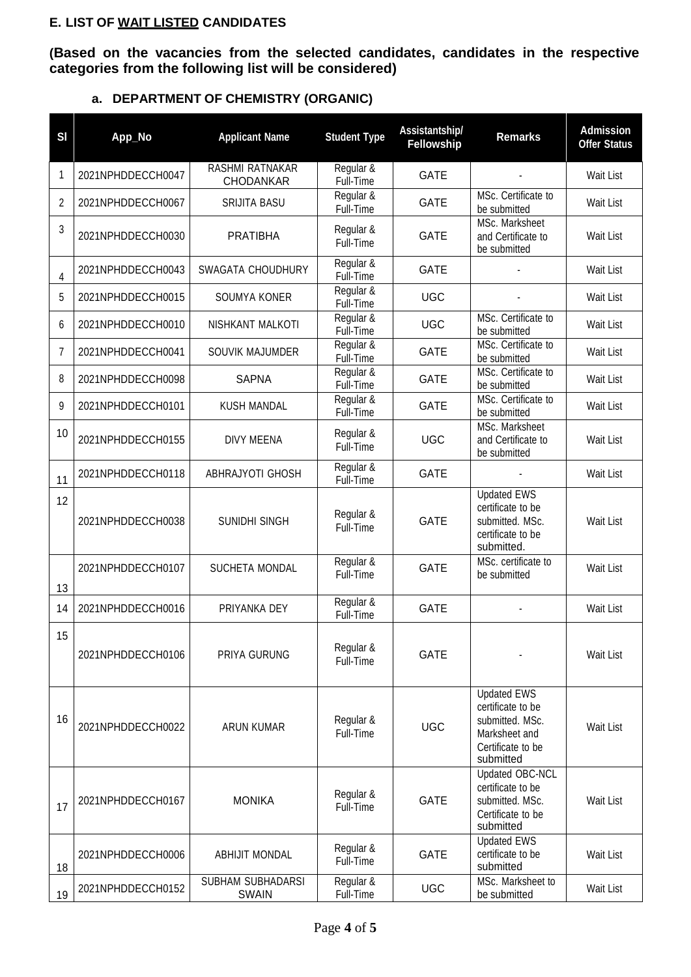### **E. LIST OF WAIT LISTED CANDIDATES**

**(Based on the vacancies from the selected candidates, candidates in the respective categories from the following list will be considered)**

| SI | App_No            | <b>Applicant Name</b>               | <b>Student Type</b>    | Assistantship/<br>Fellowship | <b>Remarks</b>                                                                                                | <b>Admission</b><br><b>Offer Status</b> |
|----|-------------------|-------------------------------------|------------------------|------------------------------|---------------------------------------------------------------------------------------------------------------|-----------------------------------------|
| 1  | 2021NPHDDECCH0047 | RASHMI RATNAKAR<br><b>CHODANKAR</b> | Regular &<br>Full-Time | <b>GATE</b>                  |                                                                                                               | Wait List                               |
| 2  | 2021NPHDDECCH0067 | <b>SRIJITA BASU</b>                 | Regular &<br>Full-Time | GATE                         | MSc. Certificate to<br>be submitted                                                                           | Wait List                               |
| 3  | 2021NPHDDECCH0030 | <b>PRATIBHA</b>                     | Regular &<br>Full-Time | <b>GATE</b>                  | MSc. Marksheet<br>and Certificate to<br>be submitted                                                          | Wait List                               |
| 4  | 2021NPHDDECCH0043 | SWAGATA CHOUDHURY                   | Regular &<br>Full-Time | GATE                         |                                                                                                               | Wait List                               |
| 5  | 2021NPHDDECCH0015 | SOUMYA KONER                        | Regular &<br>Full-Time | <b>UGC</b>                   |                                                                                                               | Wait List                               |
| 6  | 2021NPHDDECCH0010 | NISHKANT MALKOTI                    | Regular &<br>Full-Time | <b>UGC</b>                   | MSc. Certificate to<br>be submitted                                                                           | Wait List                               |
| 7  | 2021NPHDDECCH0041 | SOUVIK MAJUMDER                     | Regular &<br>Full-Time | GATE                         | MSc. Certificate to<br>be submitted                                                                           | Wait List                               |
| 8  | 2021NPHDDECCH0098 | <b>SAPNA</b>                        | Regular &<br>Full-Time | <b>GATE</b>                  | MSc. Certificate to<br>be submitted                                                                           | Wait List                               |
| 9  | 2021NPHDDECCH0101 | <b>KUSH MANDAL</b>                  | Regular &<br>Full-Time | GATE                         | MSc. Certificate to<br>be submitted                                                                           | Wait List                               |
| 10 | 2021NPHDDECCH0155 | <b>DIVY MEENA</b>                   | Regular &<br>Full-Time | <b>UGC</b>                   | MSc. Marksheet<br>and Certificate to<br>be submitted                                                          | <b>Wait List</b>                        |
| 11 | 2021NPHDDECCH0118 | ABHRAJYOTI GHOSH                    | Regular &<br>Full-Time | <b>GATE</b>                  |                                                                                                               | Wait List                               |
| 12 | 2021NPHDDECCH0038 | SUNIDHI SINGH                       | Regular &<br>Full-Time | <b>GATE</b>                  | <b>Updated EWS</b><br>certificate to be<br>submitted. MSc.<br>certificate to be<br>submitted.                 | Wait List                               |
| 13 | 2021NPHDDECCH0107 | SUCHETA MONDAL                      | Regular &<br>Full-Time | <b>GATE</b>                  | MSc. certificate to<br>be submitted                                                                           | Wait List                               |
| 14 | 2021NPHDDECCH0016 | PRIYANKA DEY                        | Regular &<br>Full-Time | <b>GATE</b>                  |                                                                                                               | <b>Wait List</b>                        |
| 15 | 2021NPHDDECCH0106 | PRIYA GURUNG                        | Regular &<br>Full-Time | <b>GATE</b>                  |                                                                                                               | Wait List                               |
| 16 | 2021NPHDDECCH0022 | <b>ARUN KUMAR</b>                   | Regular &<br>Full-Time | <b>UGC</b>                   | <b>Updated EWS</b><br>certificate to be<br>submitted. MSc.<br>Marksheet and<br>Certificate to be<br>submitted | Wait List                               |
| 17 | 2021NPHDDECCH0167 | <b>MONIKA</b>                       | Regular &<br>Full-Time | <b>GATE</b>                  | Updated OBC-NCL<br>certificate to be<br>submitted. MSc.<br>Certificate to be<br>submitted                     | Wait List                               |
| 18 | 2021NPHDDECCH0006 | <b>ABHIJIT MONDAL</b>               | Regular &<br>Full-Time | <b>GATE</b>                  | <b>Updated EWS</b><br>certificate to be<br>submitted                                                          | Wait List                               |
| 19 | 2021NPHDDECCH0152 | SUBHAM SUBHADARSI<br><b>SWAIN</b>   | Regular &<br>Full-Time | <b>UGC</b>                   | MSc. Marksheet to<br>be submitted                                                                             | Wait List                               |

## **a. DEPARTMENT OF CHEMISTRY (ORGANIC)**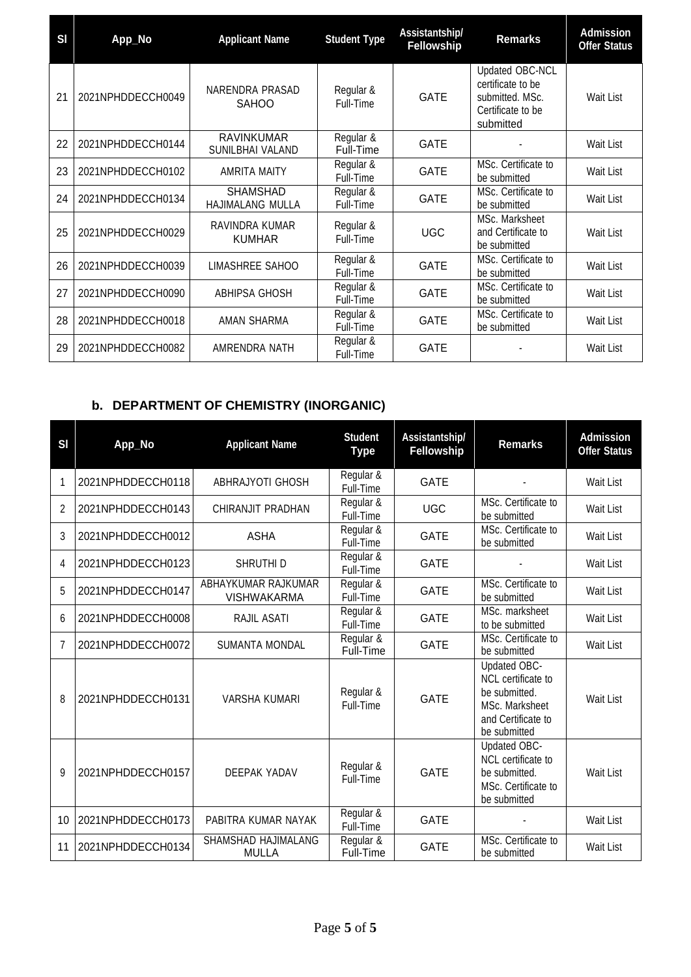| SI | App_No            | <b>Applicant Name</b>                 | <b>Student Type</b>    | Assistantship/<br>Fellowship | <b>Remarks</b>                                                                            | <b>Admission</b><br><b>Offer Status</b> |
|----|-------------------|---------------------------------------|------------------------|------------------------------|-------------------------------------------------------------------------------------------|-----------------------------------------|
| 21 | 2021NPHDDECCH0049 | NARENDRA PRASAD<br><b>SAHOO</b>       | Regular &<br>Full-Time | <b>GATE</b>                  | Updated OBC-NCL<br>certificate to be<br>submitted. MSc.<br>Certificate to be<br>submitted | Wait List                               |
| 22 | 2021NPHDDECCH0144 | <b>RAVINKUMAR</b><br>SUNILBHAI VALAND | Regular &<br>Full-Time | <b>GATE</b>                  |                                                                                           | Wait List                               |
| 23 | 2021NPHDDECCH0102 | <b>AMRITA MAITY</b>                   | Regular &<br>Full-Time | <b>GATE</b>                  | MSc. Certificate to<br>be submitted                                                       | Wait List                               |
| 24 | 2021NPHDDECCH0134 | <b>SHAMSHAD</b><br>HAJIMALANG MULLA   | Regular &<br>Full-Time | <b>GATE</b>                  | MSc. Certificate to<br>be submitted                                                       | Wait List                               |
| 25 | 2021NPHDDECCH0029 | RAVINDRA KUMAR<br><b>KUMHAR</b>       | Regular &<br>Full-Time | <b>UGC</b>                   | MSc. Marksheet<br>and Certificate to<br>be submitted                                      | Wait List                               |
| 26 | 2021NPHDDECCH0039 | LIMASHREE SAHOO                       | Regular &<br>Full-Time | <b>GATE</b>                  | MSc. Certificate to<br>be submitted                                                       | Wait List                               |
| 27 | 2021NPHDDECCH0090 | ABHIPSA GHOSH                         | Regular &<br>Full-Time | <b>GATE</b>                  | MSc. Certificate to<br>be submitted                                                       | Wait List                               |
| 28 | 2021NPHDDECCH0018 | AMAN SHARMA                           | Regular &<br>Full-Time | <b>GATE</b>                  | MSc. Certificate to<br>be submitted                                                       | Wait List                               |
| 29 | 2021NPHDDECCH0082 | AMRENDRA NATH                         | Regular &<br>Full-Time | <b>GATE</b>                  |                                                                                           | Wait List                               |

# **b. DEPARTMENT OF CHEMISTRY (INORGANIC)**

т

| SI | App_No            | <b>Applicant Name</b>                      | <b>Student</b><br><b>Type</b> | Assistantship/<br>Fellowship | <b>Remarks</b>                                                                                              | <b>Admission</b><br><b>Offer Status</b> |
|----|-------------------|--------------------------------------------|-------------------------------|------------------------------|-------------------------------------------------------------------------------------------------------------|-----------------------------------------|
|    | 2021NPHDDECCH0118 | <b>ABHRAJYOTI GHOSH</b>                    | Regular &<br>Full-Time        | <b>GATE</b>                  |                                                                                                             | Wait List                               |
| 2  | 2021NPHDDECCH0143 | CHIRANJIT PRADHAN                          | Regular &<br>Full-Time        | <b>UGC</b>                   | MSc. Certificate to<br>be submitted                                                                         | Wait List                               |
| 3  | 2021NPHDDECCH0012 | ASHA                                       | Regular &<br>Full-Time        | <b>GATE</b>                  | MSc. Certificate to<br>be submitted                                                                         | Wait List                               |
| 4  | 2021NPHDDECCH0123 | SHRUTHI D                                  | Regular &<br>Full-Time        | <b>GATE</b>                  |                                                                                                             | Wait List                               |
| 5  | 2021NPHDDECCH0147 | ABHAYKUMAR RAJKUMAR<br><b>VISHWAKARMA</b>  | Regular &<br>Full-Time        | <b>GATE</b>                  | MSc. Certificate to<br>be submitted                                                                         | Wait List                               |
| 6  | 2021NPHDDECCH0008 | RAJIL ASATI                                | Regular &<br>Full-Time        | <b>GATE</b>                  | MSc. marksheet<br>to be submitted                                                                           | Wait List                               |
| 7  | 2021NPHDDECCH0072 | SUMANTA MONDAL                             | Regular &<br>Full-Time        | <b>GATE</b>                  | MSc. Certificate to<br>be submitted                                                                         | Wait List                               |
| 8  | 2021NPHDDECCH0131 | <b>VARSHA KUMARI</b>                       | Regular &<br>Full-Time        | <b>GATE</b>                  | Updated OBC-<br>NCL certificate to<br>be submitted.<br>MSc. Marksheet<br>and Certificate to<br>be submitted | Wait List                               |
| 9  | 2021NPHDDECCH0157 | <b>DEEPAK YADAV</b>                        | Regular &<br>Full-Time        | <b>GATE</b>                  | Updated OBC-<br>NCL certificate to<br>be submitted.<br>MSc. Certificate to<br>be submitted                  | Wait List                               |
| 10 | 2021NPHDDECCH0173 | PABITRA KUMAR NAYAK                        | Regular &<br>Full-Time        | <b>GATE</b>                  |                                                                                                             | Wait List                               |
| 11 | 2021NPHDDECCH0134 | <b>SHAMSHAD HAJIMALANG</b><br><b>MULLA</b> | Regular &<br>Full-Time        | <b>GATE</b>                  | MSc. Certificate to<br>be submitted                                                                         | <b>Wait List</b>                        |